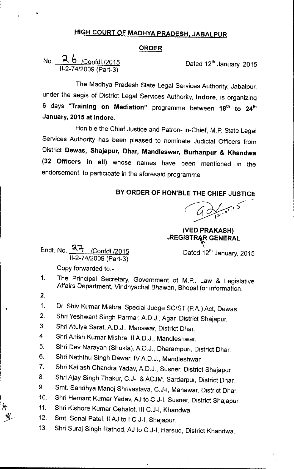## HIGH COURT OF MADHYA PRADESH, JABALPUR

## ORDER

No. ~ b /Confd1./2015 11-2-74/2009(Part-3)

•

Dated 12<sup>th</sup> January, 2015

The Madhya Pradesh State Legal Services Authority, Jabalpur, under the aegis of District Legal Services Authority, Indore, is organizing 6 days "Training on Mediation" programme between 18<sup>th</sup> to 24<sup>th</sup> January, 2015 at Indore.

Hon'ble the Chief Justice and Patron- in-Chief, M.P. State Legal Services Authority has been pleased to nominate Judicial Officers from District Dewas, Shajapur, Dhar, Mandleswar, Burhanpur & Khandwa (32 Officers in all) whose names have been mentioned in the endorsement, to participate in the aforesaid programme.

BY ORDER OF HON'BLE THE CHIEF JUSTICE

 $40/2015$ 

(VED PRAKASH) **.REGISTRAR GENERAL** 

Endt. No.  $\frac{27}{100}$  /Confdl./2015 Dated 12<sup>th</sup> January, 2015

11-2-74/2009(Part-3) Copy forwarded to:-

- 1. The Principal Secretary, Government of M.P., Law & Legislative Affairs Department, Vindhyachal Bhawan, Bhopal for information.
- 2.

•

1. Dr. Shiv Kumar Mishra, Special Judge SC/ST (P.A.) Act, Dewas.

- 2. Shri Yeshwant Singh Parmar, A.D.J., Agar, District Shajapur.
- 3. Shri Atulya Saraf, A.D.J., Manawar, District Dhar.
- 4. Shri Anish Kumar Mishra, IIAD.J., Mandleshwar.
- 5. Shri Dev Narayan (Shukla), AD.J., Dharampuri, District Dhar.
- 6. Shri Naththu Singh Dawar, IVAD.J., Mandleshwar.
- 7. Shri Kailash Chandra Yadav, A.D.J., Susner, District Shajapur.
- 8. Shri Ajay Singh Thakur, C.J-I & ACJM, Sardarpur, District Dhar.
- 9. Smt. Sandhya Manoj Shrivastava, C.J-I, Manawar, District Dhar.
- 10. Shri Hemant Kumar Yadav,AJ to.C.J-I, Susner, District Shajapur.
- 11. Shri Kishore Kumar Gehalot, III C.J-I, Khandwa.
- 12. Smt. Sonal Patel, II AJ to I C.J-I, Shajapur.
- 13. Shri Suraj Singh Rathod, AJ to C.J-I, Harsud, District Khandwa.